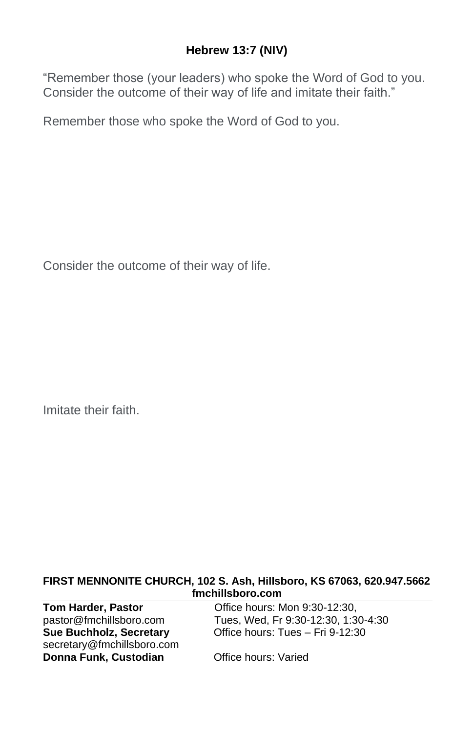## **Hebrew 13:7 (NIV)**

"Remember those (your leaders) who spoke the Word of God to you. Consider the outcome of their way of life and imitate their faith."

Remember those who spoke the Word of God to you.

Consider the outcome of their way of life.

Imitate their faith.

#### **FIRST MENNONITE CHURCH, 102 S. Ash, Hillsboro, KS 67063, 620.947.5662 fmchillsboro.com**

| <b>Tom Harder, Pastor</b>      | Office hours: Mon 9:30-12:30.       |
|--------------------------------|-------------------------------------|
| pastor@fmchillsboro.com        | Tues, Wed, Fr 9:30-12:30, 1:30-4:30 |
| <b>Sue Buchholz, Secretary</b> | Office hours: Tues - Fri 9-12:30    |
| secretary@fmchillsboro.com     |                                     |
| Donna Funk, Custodian          | Office hours: Varied                |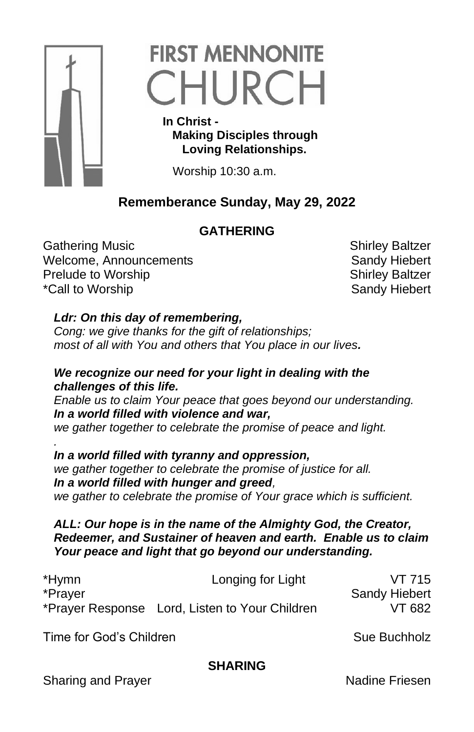

# **FIRST MENNONITE** CHURCH

 **In Christ - Making Disciples through Loving Relationships.**

Worship 10:30 a.m.

# **Rememberance Sunday, May 29, 2022**

# **GATHERING**

Gathering Music **Shirley Baltzer** Shirley Baltzer Welcome, Announcements **Sandy Hiebert** Sandy Hiebert Prelude to Worship New Shirley Baltzer \*Call to Worship Notice Alleman and the Sandy Hiebert

# *Ldr: On this day of remembering,*

*Cong: we give thanks for the gift of relationships; most of all with You and others that You place in our lives.* 

## *We recognize our need for your light in dealing with the challenges of this life.*

*Enable us to claim Your peace that goes beyond our understanding. In a world filled with violence and war,*

*we gather together to celebrate the promise of peace and light.*

*. In a world filled with tyranny and oppression, we gather together to celebrate the promise of justice for all. In a world filled with hunger and greed, we gather to celebrate the promise of Your grace which is sufficient.*

#### *ALL: Our hope is in the name of the Almighty God, the Creator, Redeemer, and Sustainer of heaven and earth. Enable us to claim Your peace and light that go beyond our understanding.*

| *Hymn   | Longing for Light                              | VT 715               |
|---------|------------------------------------------------|----------------------|
| *Prayer |                                                | <b>Sandy Hiebert</b> |
|         | *Prayer Response Lord, Listen to Your Children | VT 682               |

Time for God's Children Sue Buchholz

## **SHARING**

Sharing and Prayer Nadine Friesen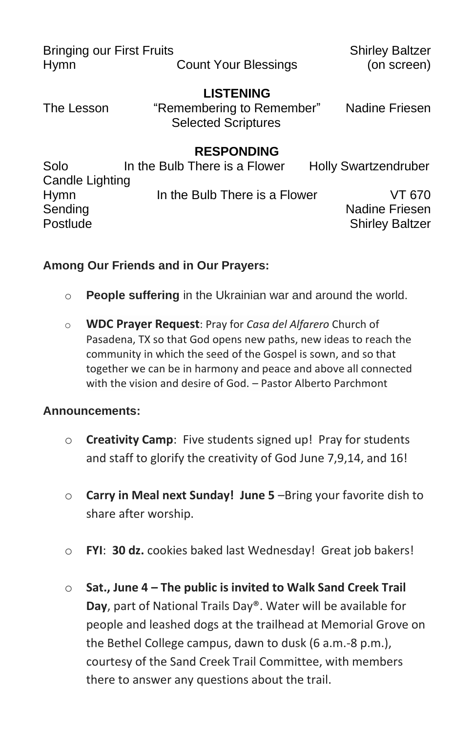| <b>Bringing our First Fruits</b> |                                                                             | <b>Shirley Baltzer</b>      |
|----------------------------------|-----------------------------------------------------------------------------|-----------------------------|
| <b>Hymn</b>                      | <b>Count Your Blessings</b>                                                 | (on screen)                 |
| The Lesson                       | <b>LISTENING</b><br>"Remembering to Remember"<br><b>Selected Scriptures</b> | Nadine Friesen              |
|                                  | <b>RESPONDING</b>                                                           |                             |
| Solo                             | In the Bulb There is a Flower                                               | <b>Holly Swartzendruber</b> |
| Candle Lighting                  |                                                                             |                             |
| <b>Hymn</b>                      | In the Bulb There is a Flower                                               | VT 670                      |
| Sending                          |                                                                             | Nadine Friesen              |
| Postlude                         |                                                                             | <b>Shirley Baltzer</b>      |

### **Among Our Friends and in Our Prayers:**

- o **People suffering** in the Ukrainian war and around the world.
- o **WDC Prayer Request**: Pray for *Casa del Alfarero* Church of Pasadena, TX so that God opens new paths, new ideas to reach the community in which the seed of the Gospel is sown, and so that together we can be in harmony and peace and above all connected with the vision and desire of God. – Pastor Alberto Parchmont

#### **Announcements:**

- o **Creativity Camp**: Five students signed up! Pray for students and staff to glorify the creativity of God June 7,9,14, and 16!
- o **Carry in Meal next Sunday! June 5** –Bring your favorite dish to share after worship.
- o **FYI**: **30 dz.** cookies baked last Wednesday! Great job bakers!
- o **Sat., June 4 – The public is invited to Walk Sand Creek Trail Day**, part of National Trails Day®. Water will be available for people and leashed dogs at the trailhead at Memorial Grove on the Bethel College campus, dawn to dusk (6 a.m.-8 p.m.), courtesy of the Sand Creek Trail Committee, with members there to answer any questions about the trail.